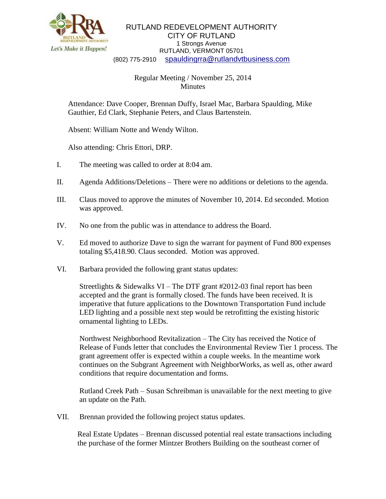

RUTLAND REDEVELOPMENT AUTHORITY CITY OF RUTLAND 1 Strongs Avenue RUTLAND, VERMONT 05701 (802) 775-2910 [spauldingrra@rutlandvtbusiness.com](mailto:allenrra@rutlandvtbusiness.com)

## Regular Meeting / November 25, 2014 Minutes

Attendance: Dave Cooper, Brennan Duffy, Israel Mac, Barbara Spaulding, Mike Gauthier, Ed Clark, Stephanie Peters, and Claus Bartenstein.

Absent: William Notte and Wendy Wilton.

Also attending: Chris Ettori, DRP.

- I. The meeting was called to order at 8:04 am.
- II. Agenda Additions/Deletions There were no additions or deletions to the agenda.
- III. Claus moved to approve the minutes of November 10, 2014. Ed seconded. Motion was approved.
- IV. No one from the public was in attendance to address the Board.
- V. Ed moved to authorize Dave to sign the warrant for payment of Fund 800 expenses totaling \$5,418.90. Claus seconded. Motion was approved.
- VI. Barbara provided the following grant status updates:

Streetlights & Sidewalks VI – The DTF grant #2012-03 final report has been accepted and the grant is formally closed. The funds have been received. It is imperative that future applications to the Downtown Transportation Fund include LED lighting and a possible next step would be retrofitting the existing historic ornamental lighting to LEDs.

Northwest Neighborhood Revitalization – The City has received the Notice of Release of Funds letter that concludes the Environmental Review Tier 1 process. The grant agreement offer is expected within a couple weeks. In the meantime work continues on the Subgrant Agreement with NeighborWorks, as well as, other award conditions that require documentation and forms.

Rutland Creek Path – Susan Schreibman is unavailable for the next meeting to give an update on the Path.

VII. Brennan provided the following project status updates.

Real Estate Updates – Brennan discussed potential real estate transactions including the purchase of the former Mintzer Brothers Building on the southeast corner of